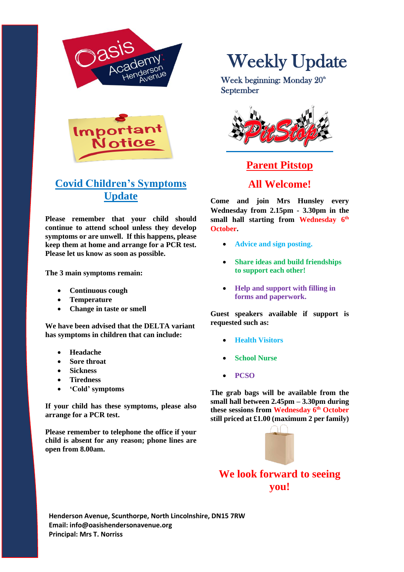



# **Covid Children's Symptoms Update**

**Please remember that your child should continue to attend school unless they develop symptoms or are unwell. If this happens, please keep them at home and arrange for a PCR test. Please let us know as soon as possible.**

**The 3 main symptoms remain:**

- **Continuous cough**
- **Temperature**
- **Change in taste or smell**

**We have been advised that the DELTA variant has symptoms in children that can include:**

- **Headache**
- **Sore throat**
- **Sickness**
- **Tiredness**
- **'Cold' symptoms**

**If your child has these symptoms, please also arrange for a PCR test.**

**Please remember to telephone the office if your child is absent for any reason; phone lines are open from 8.00am.**

# Weekly Update

Week beginning: Monday  $20<sup>th</sup>$ September



# **Parent Pitstop All Welcome!**

**Come and join Mrs Hunsley every Wednesday from 2.15pm - 3.30pm in the small hall starting from Wednesday 6 th October.**

- **Advice and sign posting.**
- **Share ideas and build friendships to support each other!**
- **Help and support with filling in forms and paperwork.**

**Guest speakers available if support is requested such as:**

- **Health Visitors**
- **School Nurse**
- **PCSO**

**The grab bags will be available from the small hall between 2.45pm – 3.30pm during these sessions from Wednesday 6th October still priced at £1.00 (maximum 2 per family)**



**We look forward to seeing you!**

**Henderson Avenue, Scunthorpe, North Lincolnshire, DN15 7RW Email: info@oasishendersonavenue.org Principal: Mrs T. Norriss**